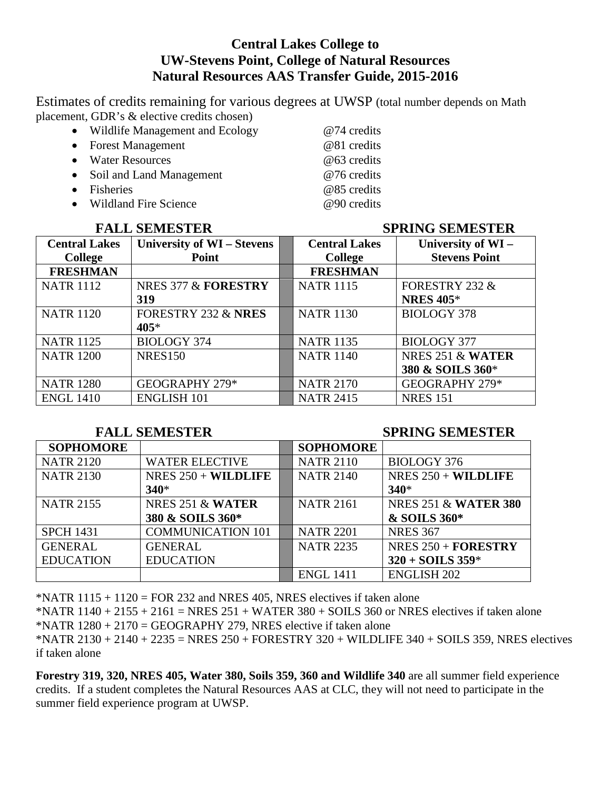## **Central Lakes College to UW-Stevens Point, College of Natural Resources Natural Resources AAS Transfer Guide, 2015-2016**

Estimates of credits remaining for various degrees at UWSP (total number depends on Math placement, GDR's & elective credits chosen)

- Wildlife Management and Ecology @74 credits
- Forest Management @81 credits
- 
- Water Resources @63 credits<br>
Soil and Land Management @76 credits • Soil and Land Management
- Fisheries @85 credits
- Wildland Fire Science @90 credits

### **FALL SEMESTER SPRING SEMESTER**

| <b>Central Lakes</b> | University of WI - Stevens     | <b>Central Lakes</b> | University of WI-    |
|----------------------|--------------------------------|----------------------|----------------------|
| <b>College</b>       | Point                          | <b>College</b>       | <b>Stevens Point</b> |
| <b>FRESHMAN</b>      |                                | <b>FRESHMAN</b>      |                      |
| <b>NATR 1112</b>     | NRES 377 & FORESTRY            | <b>NATR 1115</b>     | FORESTRY 232 &       |
|                      | 319                            |                      | <b>NRES 405*</b>     |
| <b>NATR 1120</b>     | <b>FORESTRY 232 &amp; NRES</b> | <b>NATR 1130</b>     | <b>BIOLOGY 378</b>   |
|                      | 405*                           |                      |                      |
| <b>NATR 1125</b>     | <b>BIOLOGY 374</b>             | <b>NATR 1135</b>     | <b>BIOLOGY 377</b>   |
| <b>NATR 1200</b>     | <b>NRES150</b>                 | <b>NATR 1140</b>     | NRES 251 & WATER     |
|                      |                                |                      | 380 & SOILS 360*     |
| <b>NATR 1280</b>     | GEOGRAPHY 279*                 | <b>NATR 2170</b>     | GEOGRAPHY 279*       |
| <b>ENGL 1410</b>     | <b>ENGLISH 101</b>             | <b>NATR 2415</b>     | <b>NRES</b> 151      |

### **FALL SEMESTER SPRING SEMESTER**

| <b>SOPHOMORE</b> |                                | <b>SOPHOMORE</b> |                                 |
|------------------|--------------------------------|------------------|---------------------------------|
| <b>NATR 2120</b> | <b>WATER ELECTIVE</b>          | <b>NATR 2110</b> | <b>BIOLOGY 376</b>              |
| <b>NATR 2130</b> | NRES $250 + \textbf{WILDLIFE}$ | <b>NATR 2140</b> | NRES $250 + \textbf{WILDLIFE}$  |
|                  | $340*$                         |                  | $340*$                          |
| <b>NATR 2155</b> | NRES $251 \& \text{WATER}$     | <b>NATR 2161</b> | <b>NRES 251 &amp; WATER 380</b> |
|                  | 380 & SOILS 360*               |                  | & SOILS 360*                    |
| <b>SPCH 1431</b> | <b>COMMUNICATION 101</b>       | <b>NATR 2201</b> | <b>NRES 367</b>                 |
| <b>GENERAL</b>   | <b>GENERAL</b>                 | <b>NATR 2235</b> | NRES $250 + \textbf{FORESTRY}$  |
| <b>EDUCATION</b> | <b>EDUCATION</b>               |                  | $320 + SOLS$ 359*               |
|                  |                                | <b>ENGL 1411</b> | <b>ENGLISH 202</b>              |

\*NATR  $1115 + 1120 = FOR 232$  and NRES 405, NRES electives if taken alone

\*NATR  $1140 + 2155 + 2161 = NRES 251 + WATER 380 + SOLS 360$  or NRES electives if taken alone \*NATR  $1280 + 2170 = GEOGRAPHY 279$ , NRES elective if taken alone

\*NATR 2130 + 2140 + 2235 = NRES 250 + FORESTRY 320 + WILDLIFE 340 + SOILS 359, NRES electives if taken alone

**Forestry 319, 320, NRES 405, Water 380, Soils 359, 360 and Wildlife 340** are all summer field experience credits. If a student completes the Natural Resources AAS at CLC, they will not need to participate in the summer field experience program at UWSP.